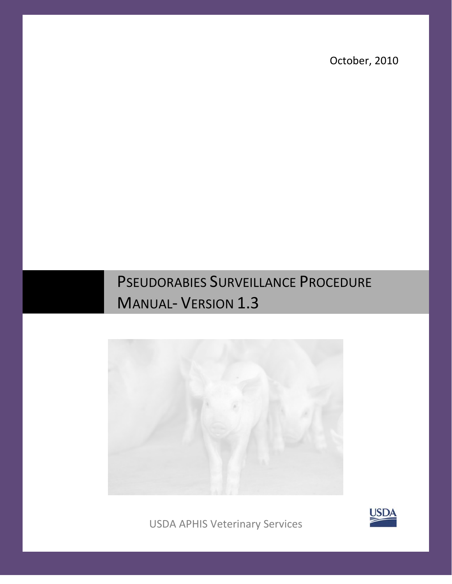October, 2010

# PSEUDORABIES SURVEILLANCE PROCEDURE MANUAL- VERSION 1.3



USDA APHIS Veterinary Services

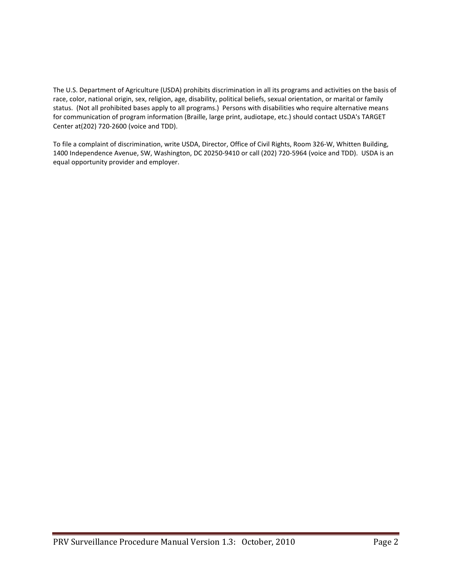The U.S. Department of Agriculture (USDA) prohibits discrimination in all its programs and activities on the basis of race, color, national origin, sex, religion, age, disability, political beliefs, sexual orientation, or marital or family status. (Not all prohibited bases apply to all programs.) Persons with disabilities who require alternative means for communication of program information (Braille, large print, audiotape, etc.) should contact USDA's TARGET Center at(202) 720-2600 (voice and TDD).

To file a complaint of discrimination, write USDA, Director, Office of Civil Rights, Room 326-W, Whitten Building, 1400 Independence Avenue, SW, Washington, DC 20250-9410 or call (202) 720-5964 (voice and TDD). USDA is an equal opportunity provider and employer.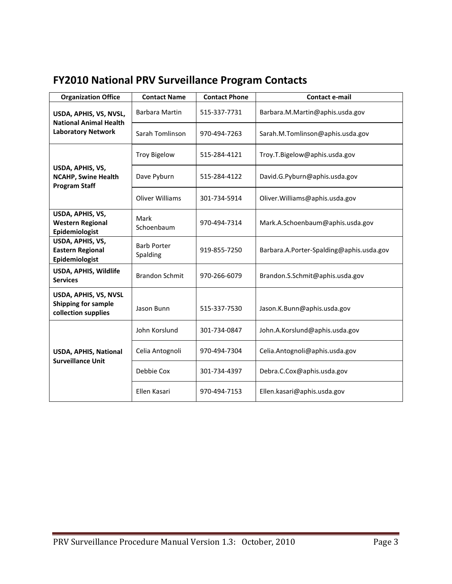| <b>Organization Office</b>                                             | <b>Contact Name</b>            | <b>Contact Phone</b> | <b>Contact e-mail</b>                    |
|------------------------------------------------------------------------|--------------------------------|----------------------|------------------------------------------|
| USDA, APHIS, VS, NVSL,<br><b>National Animal Health</b>                | Barbara Martin                 | 515-337-7731         | Barbara.M.Martin@aphis.usda.gov          |
| <b>Laboratory Network</b>                                              | Sarah Tomlinson                | 970-494-7263         | Sarah.M.Tomlinson@aphis.usda.gov         |
|                                                                        | <b>Troy Bigelow</b>            | 515-284-4121         | Troy.T.Bigelow@aphis.usda.gov            |
| USDA, APHIS, VS,<br><b>NCAHP, Swine Health</b><br><b>Program Staff</b> | Dave Pyburn                    | 515-284-4122         | David.G.Pyburn@aphis.usda.gov            |
|                                                                        | <b>Oliver Williams</b>         | 301-734-5914         | Oliver. Williams@aphis.usda.gov          |
| USDA, APHIS, VS,<br><b>Western Regional</b><br>Epidemiologist          | Mark<br>Schoenbaum             | 970-494-7314         | Mark.A.Schoenbaum@aphis.usda.gov         |
| USDA, APHIS, VS,<br><b>Eastern Regional</b><br>Epidemiologist          | <b>Barb Porter</b><br>Spalding | 919-855-7250         | Barbara.A.Porter-Spalding@aphis.usda.gov |
| USDA, APHIS, Wildlife<br><b>Services</b>                               | <b>Brandon Schmit</b>          | 970-266-6079         | Brandon.S.Schmit@aphis.usda.gov          |
| USDA, APHIS, VS, NVSL<br>Shipping for sample<br>collection supplies    | Jason Bunn                     | 515-337-7530         | Jason.K.Bunn@aphis.usda.gov              |
|                                                                        | John Korslund                  | 301-734-0847         | John.A.Korslund@aphis.usda.gov           |
| USDA, APHIS, National<br><b>Surveillance Unit</b>                      | Celia Antognoli                | 970-494-7304         | Celia.Antognoli@aphis.usda.gov           |
|                                                                        | Debbie Cox                     | 301-734-4397         | Debra.C.Cox@aphis.usda.gov               |
|                                                                        | Ellen Kasari                   | 970-494-7153         | Ellen.kasari@aphis.usda.gov              |

# <span id="page-2-0"></span>**FY2010 National PRV Surveillance Program Contacts**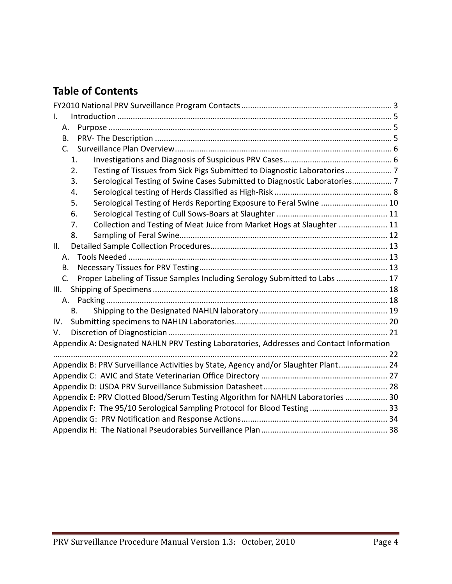# **Table of Contents**

| I.                                                                                       |  |
|------------------------------------------------------------------------------------------|--|
| Α.                                                                                       |  |
| В.                                                                                       |  |
| C.                                                                                       |  |
| 1.                                                                                       |  |
| Testing of Tissues from Sick Pigs Submitted to Diagnostic Laboratories 7<br>2.           |  |
| Serological Testing of Swine Cases Submitted to Diagnostic Laboratories 7<br>3.          |  |
| 4.                                                                                       |  |
| Serological Testing of Herds Reporting Exposure to Feral Swine  10<br>5.                 |  |
| 6.                                                                                       |  |
| Collection and Testing of Meat Juice from Market Hogs at Slaughter  11<br>7.             |  |
| 8.                                                                                       |  |
| ΙΙ.                                                                                      |  |
| А.                                                                                       |  |
| В.                                                                                       |  |
| Proper Labeling of Tissue Samples Including Serology Submitted to Labs  17<br>C.         |  |
| III.                                                                                     |  |
|                                                                                          |  |
| B.                                                                                       |  |
| IV.                                                                                      |  |
| V.                                                                                       |  |
| Appendix A: Designated NAHLN PRV Testing Laboratories, Addresses and Contact Information |  |
|                                                                                          |  |
| Appendix B: PRV Surveillance Activities by State, Agency and/or Slaughter Plant 24       |  |
|                                                                                          |  |
|                                                                                          |  |
| Appendix E: PRV Clotted Blood/Serum Testing Algorithm for NAHLN Laboratories  30         |  |
| Appendix F: The 95/10 Serological Sampling Protocol for Blood Testing  33                |  |
|                                                                                          |  |
|                                                                                          |  |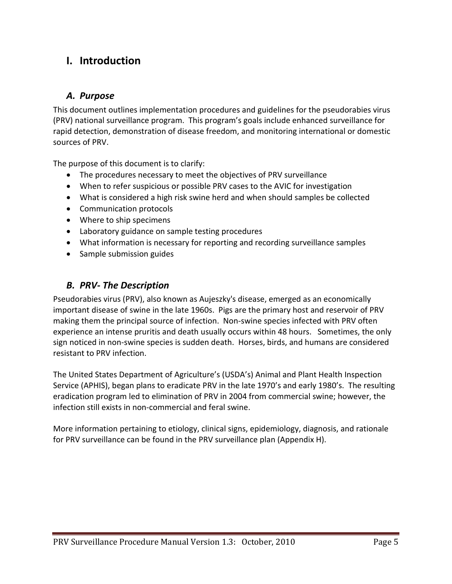# <span id="page-4-0"></span>**I. Introduction**

### <span id="page-4-1"></span>*A. Purpose*

This document outlines implementation procedures and guidelines for the pseudorabies virus (PRV) national surveillance program. This program's goals include enhanced surveillance for rapid detection, demonstration of disease freedom, and monitoring international or domestic sources of PRV.

The purpose of this document is to clarify:

- The procedures necessary to meet the objectives of PRV surveillance
- When to refer suspicious or possible PRV cases to the AVIC for investigation
- What is considered a high risk swine herd and when should samples be collected
- Communication protocols
- Where to ship specimens
- Laboratory guidance on sample testing procedures
- What information is necessary for reporting and recording surveillance samples
- Sample submission guides

### <span id="page-4-2"></span>*B. PRV- The Description*

Pseudorabies virus (PRV), also known as Aujeszky's disease, emerged as an economically important disease of swine in the late 1960s. Pigs are the primary host and reservoir of PRV making them the principal source of infection. Non-swine species infected with PRV often experience an intense pruritis and death usually occurs within 48 hours. Sometimes, the only sign noticed in non-swine species is sudden death. Horses, birds, and humans are considered resistant to PRV infection.

The United States Department of Agriculture's (USDA's) Animal and Plant Health Inspection Service (APHIS), began plans to eradicate PRV in the late 1970's and early 1980's. The resulting eradication program led to elimination of PRV in 2004 from commercial swine; however, the infection still exists in non-commercial and feral swine.

More information pertaining to etiology, clinical signs, epidemiology, diagnosis, and rationale for PRV surveillance can be found in the PRV surveillance plan (Appendix H).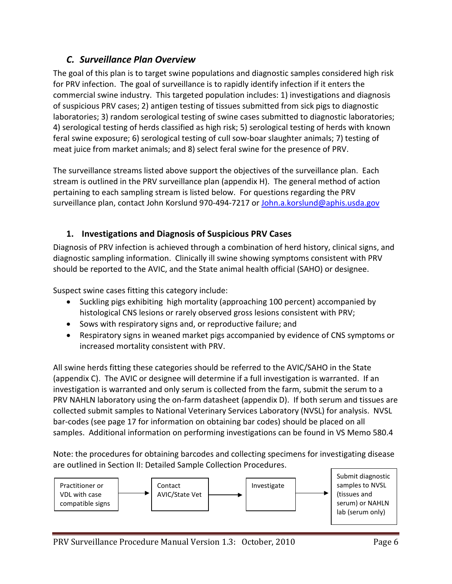### <span id="page-5-0"></span>*C. Surveillance Plan Overview*

The goal of this plan is to target swine populations and diagnostic samples considered high risk for PRV infection. The goal of surveillance is to rapidly identify infection if it enters the commercial swine industry. This targeted population includes: 1) investigations and diagnosis of suspicious PRV cases; 2) antigen testing of tissues submitted from sick pigs to diagnostic laboratories; 3) random serological testing of swine cases submitted to diagnostic laboratories; 4) serological testing of herds classified as high risk; 5) serological testing of herds with known feral swine exposure; 6) serological testing of cull sow-boar slaughter animals; 7) testing of meat juice from market animals; and 8) select feral swine for the presence of PRV.

The surveillance streams listed above support the objectives of the surveillance plan. Each stream is outlined in the PRV surveillance plan (appendix H). The general method of action pertaining to each sampling stream is listed below. For questions regarding the PRV surveillance plan, contact John Korslund 970-494-7217 or [John.a.korslund@aphis.usda.gov](mailto:John.a.korslund@aphis.usda.gov)

### <span id="page-5-1"></span>**1. Investigations and Diagnosis of Suspicious PRV Cases**

Diagnosis of PRV infection is achieved through a combination of herd history, clinical signs, and diagnostic sampling information. Clinically ill swine showing symptoms consistent with PRV should be reported to the AVIC, and the State animal health official (SAHO) or designee.

Suspect swine cases fitting this category include:

- Suckling pigs exhibiting high mortality (approaching 100 percent) accompanied by histological CNS lesions or rarely observed gross lesions consistent with PRV;
- Sows with respiratory signs and, or reproductive failure; and
- Respiratory signs in weaned market pigs accompanied by evidence of CNS symptoms or increased mortality consistent with PRV.

All swine herds fitting these categories should be referred to the AVIC/SAHO in the State (appendix C). The AVIC or designee will determine if a full investigation is warranted. If an investigation is warranted and only serum is collected from the farm, submit the serum to a PRV NAHLN laboratory using the on-farm datasheet (appendix D). If both serum and tissues are collected submit samples to National Veterinary Services Laboratory (NVSL) for analysis. NVSL bar-codes (see page 17 for information on obtaining bar codes) should be placed on all samples. Additional information on performing investigations can be found in VS Memo 580.4

Note: the procedures for obtaining barcodes and collecting specimens for investigating disease are outlined in Section II: Detailed Sample Collection Procedures.

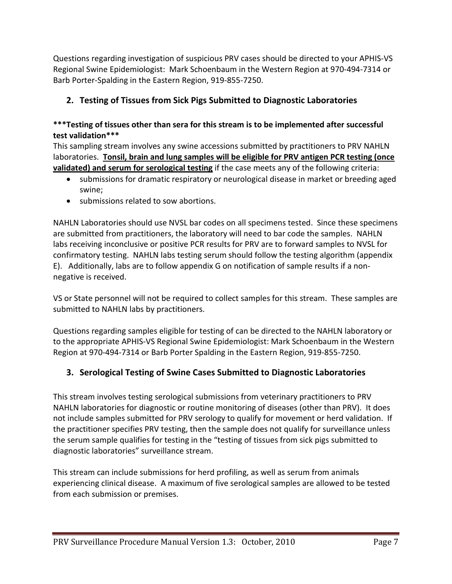Questions regarding investigation of suspicious PRV cases should be directed to your APHIS-VS Regional Swine Epidemiologist: Mark Schoenbaum in the Western Region at 970-494-7314 or Barb Porter-Spalding in the Eastern Region, 919-855-7250.

### <span id="page-6-0"></span>**2. Testing of Tissues from Sick Pigs Submitted to Diagnostic Laboratories**

#### **\*\*\*Testing of tissues other than sera for this stream is to be implemented after successful test validation\*\*\***

This sampling stream involves any swine accessions submitted by practitioners to PRV NAHLN laboratories. **Tonsil, brain and lung samples will be eligible for PRV antigen PCR testing (once validated) and serum for serological testing** if the case meets any of the following criteria:

- submissions for dramatic respiratory or neurological disease in market or breeding aged swine;
- submissions related to sow abortions.

NAHLN Laboratories should use NVSL bar codes on all specimens tested. Since these specimens are submitted from practitioners, the laboratory will need to bar code the samples. NAHLN labs receiving inconclusive or positive PCR results for PRV are to forward samples to NVSL for confirmatory testing. NAHLN labs testing serum should follow the testing algorithm (appendix E). Additionally, labs are to follow appendix G on notification of sample results if a nonnegative is received.

VS or State personnel will not be required to collect samples for this stream. These samples are submitted to NAHLN labs by practitioners.

Questions regarding samples eligible for testing of can be directed to the NAHLN laboratory or to the appropriate APHIS-VS Regional Swine Epidemiologist: Mark Schoenbaum in the Western Region at 970-494-7314 or Barb Porter Spalding in the Eastern Region, 919-855-7250.

### <span id="page-6-1"></span>**3. Serological Testing of Swine Cases Submitted to Diagnostic Laboratories**

This stream involves testing serological submissions from veterinary practitioners to PRV NAHLN laboratories for diagnostic or routine monitoring of diseases (other than PRV). It does not include samples submitted for PRV serology to qualify for movement or herd validation. If the practitioner specifies PRV testing, then the sample does not qualify for surveillance unless the serum sample qualifies for testing in the "testing of tissues from sick pigs submitted to diagnostic laboratories" surveillance stream.

This stream can include submissions for herd profiling, as well as serum from animals experiencing clinical disease. A maximum of five serological samples are allowed to be tested from each submission or premises.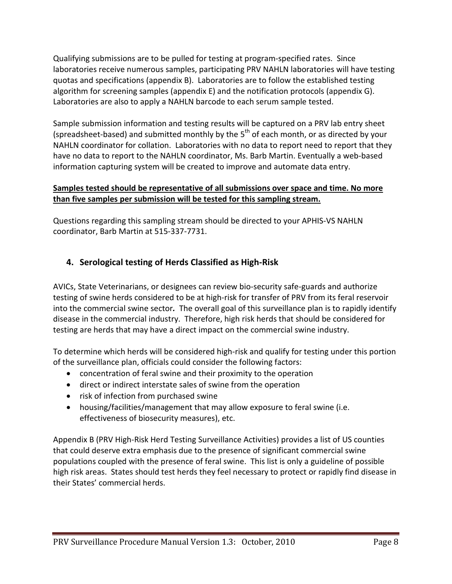Qualifying submissions are to be pulled for testing at program-specified rates. Since laboratories receive numerous samples, participating PRV NAHLN laboratories will have testing quotas and specifications (appendix B). Laboratories are to follow the established testing algorithm for screening samples (appendix E) and the notification protocols (appendix G). Laboratories are also to apply a NAHLN barcode to each serum sample tested.

Sample submission information and testing results will be captured on a PRV lab entry sheet (spreadsheet-based) and submitted monthly by the  $5<sup>th</sup>$  of each month, or as directed by your NAHLN coordinator for collation. Laboratories with no data to report need to report that they have no data to report to the NAHLN coordinator, Ms. Barb Martin. Eventually a web-based information capturing system will be created to improve and automate data entry.

#### **Samples tested should be representative of all submissions over space and time. No more than five samples per submission will be tested for this sampling stream.**

Questions regarding this sampling stream should be directed to your APHIS-VS NAHLN coordinator, Barb Martin at 515-337-7731.

### <span id="page-7-0"></span>**4. Serological testing of Herds Classified as High-Risk**

AVICs, State Veterinarians, or designees can review bio-security safe-guards and authorize testing of swine herds considered to be at high-risk for transfer of PRV from its feral reservoir into the commercial swine sector*.* The overall goal of this surveillance plan is to rapidly identify disease in the commercial industry. Therefore, high risk herds that should be considered for testing are herds that may have a direct impact on the commercial swine industry.

To determine which herds will be considered high-risk and qualify for testing under this portion of the surveillance plan, officials could consider the following factors:

- concentration of feral swine and their proximity to the operation
- direct or indirect interstate sales of swine from the operation
- risk of infection from purchased swine
- housing/facilities/management that may allow exposure to feral swine (i.e. effectiveness of biosecurity measures), etc.

Appendix B (PRV High-Risk Herd Testing Surveillance Activities) provides a list of US counties that could deserve extra emphasis due to the presence of significant commercial swine populations coupled with the presence of feral swine. This list is only a guideline of possible high risk areas. States should test herds they feel necessary to protect or rapidly find disease in their States' commercial herds.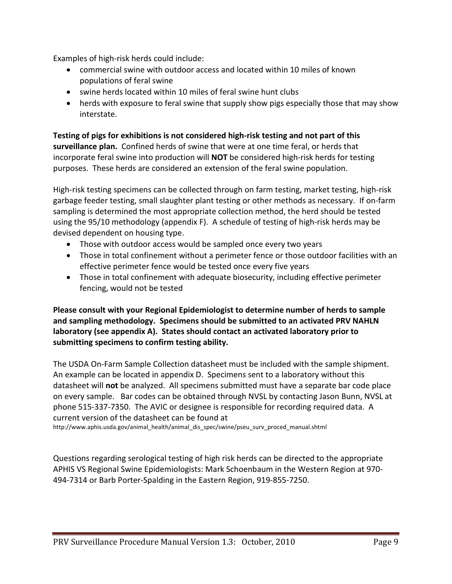Examples of high-risk herds could include:

- commercial swine with outdoor access and located within 10 miles of known populations of feral swine
- swine herds located within 10 miles of feral swine hunt clubs
- herds with exposure to feral swine that supply show pigs especially those that may show interstate.

**Testing of pigs for exhibitions is not considered high-risk testing and not part of this surveillance plan.** Confined herds of swine that were at one time feral, or herds that incorporate feral swine into production will **NOT** be considered high-risk herds for testing purposes. These herds are considered an extension of the feral swine population.

High-risk testing specimens can be collected through on farm testing, market testing, high-risk garbage feeder testing, small slaughter plant testing or other methods as necessary. If on-farm sampling is determined the most appropriate collection method, the herd should be tested using the 95/10 methodology (appendix F). A schedule of testing of high-risk herds may be devised dependent on housing type.

- Those with outdoor access would be sampled once every two years
- Those in total confinement without a perimeter fence or those outdoor facilities with an effective perimeter fence would be tested once every five years
- Those in total confinement with adequate biosecurity, including effective perimeter fencing, would not be tested

**Please consult with your Regional Epidemiologist to determine number of herds to sample and sampling methodology. Specimens should be submitted to an activated PRV NAHLN laboratory (see appendix A). States should contact an activated laboratory prior to submitting specimens to confirm testing ability.** 

The USDA On-Farm Sample Collection datasheet must be included with the sample shipment. An example can be located in appendix D. Specimens sent to a laboratory without this datasheet will **not** be analyzed. All specimens submitted must have a separate bar code place on every sample. Bar codes can be obtained through NVSL by contacting Jason Bunn, NVSL at phone 515-337-7350. The AVIC or designee is responsible for recording required data. A current version of the datasheet can be found at

http://www.aphis.usda.gov/animal\_health/animal\_dis\_spec/swine/pseu\_surv\_proced\_manual.shtml

Questions regarding serological testing of high risk herds can be directed to the appropriate APHIS VS Regional Swine Epidemiologists: Mark Schoenbaum in the Western Region at 970- 494-7314 or Barb Porter-Spalding in the Eastern Region, 919-855-7250.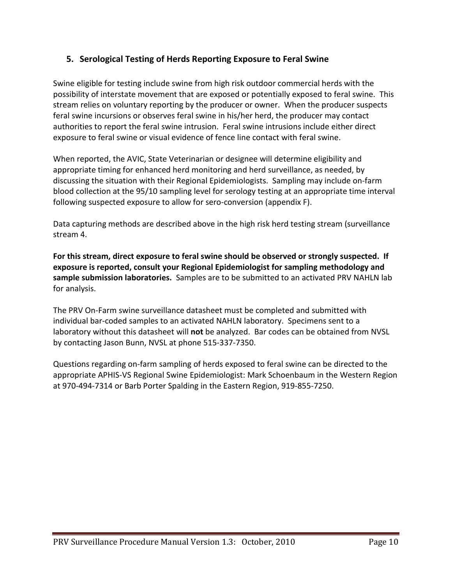### <span id="page-9-0"></span>**5. Serological Testing of Herds Reporting Exposure to Feral Swine**

Swine eligible for testing include swine from high risk outdoor commercial herds with the possibility of interstate movement that are exposed or potentially exposed to feral swine. This stream relies on voluntary reporting by the producer or owner. When the producer suspects feral swine incursions or observes feral swine in his/her herd, the producer may contact authorities to report the feral swine intrusion. Feral swine intrusions include either direct exposure to feral swine or visual evidence of fence line contact with feral swine.

When reported, the AVIC, State Veterinarian or designee will determine eligibility and appropriate timing for enhanced herd monitoring and herd surveillance, as needed, by discussing the situation with their Regional Epidemiologists. Sampling may include on-farm blood collection at the 95/10 sampling level for serology testing at an appropriate time interval following suspected exposure to allow for sero-conversion (appendix F).

Data capturing methods are described above in the high risk herd testing stream (surveillance stream 4.

**For this stream, direct exposure to feral swine should be observed or strongly suspected. If exposure is reported, consult your Regional Epidemiologist for sampling methodology and sample submission laboratories.** Samples are to be submitted to an activated PRV NAHLN lab for analysis.

The PRV On-Farm swine surveillance datasheet must be completed and submitted with individual bar-coded samples to an activated NAHLN laboratory. Specimens sent to a laboratory without this datasheet will **not** be analyzed. Bar codes can be obtained from NVSL by contacting Jason Bunn, NVSL at phone 515-337-7350.

Questions regarding on-farm sampling of herds exposed to feral swine can be directed to the appropriate APHIS-VS Regional Swine Epidemiologist: Mark Schoenbaum in the Western Region at 970-494-7314 or Barb Porter Spalding in the Eastern Region, 919-855-7250.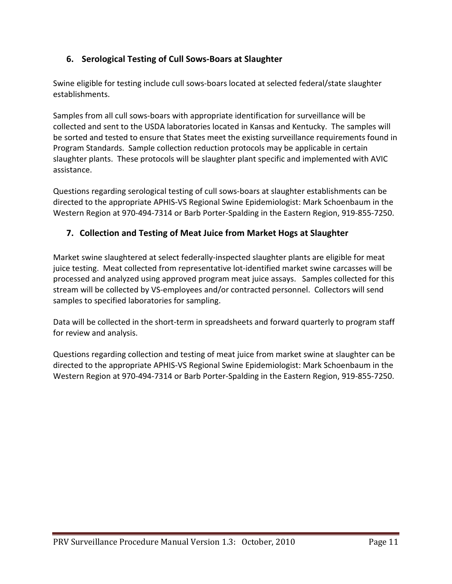### <span id="page-10-0"></span>**6. Serological Testing of Cull Sows-Boars at Slaughter**

Swine eligible for testing include cull sows-boars located at selected federal/state slaughter establishments.

Samples from all cull sows-boars with appropriate identification for surveillance will be collected and sent to the USDA laboratories located in Kansas and Kentucky. The samples will be sorted and tested to ensure that States meet the existing surveillance requirements found in Program Standards. Sample collection reduction protocols may be applicable in certain slaughter plants. These protocols will be slaughter plant specific and implemented with AVIC assistance.

Questions regarding serological testing of cull sows-boars at slaughter establishments can be directed to the appropriate APHIS-VS Regional Swine Epidemiologist: Mark Schoenbaum in the Western Region at 970-494-7314 or Barb Porter-Spalding in the Eastern Region, 919-855-7250.

### <span id="page-10-1"></span>**7. Collection and Testing of Meat Juice from Market Hogs at Slaughter**

Market swine slaughtered at select federally-inspected slaughter plants are eligible for meat juice testing. Meat collected from representative lot-identified market swine carcasses will be processed and analyzed using approved program meat juice assays. Samples collected for this stream will be collected by VS-employees and/or contracted personnel. Collectors will send samples to specified laboratories for sampling.

Data will be collected in the short-term in spreadsheets and forward quarterly to program staff for review and analysis.

Questions regarding collection and testing of meat juice from market swine at slaughter can be directed to the appropriate APHIS-VS Regional Swine Epidemiologist: Mark Schoenbaum in the Western Region at 970-494-7314 or Barb Porter-Spalding in the Eastern Region, 919-855-7250.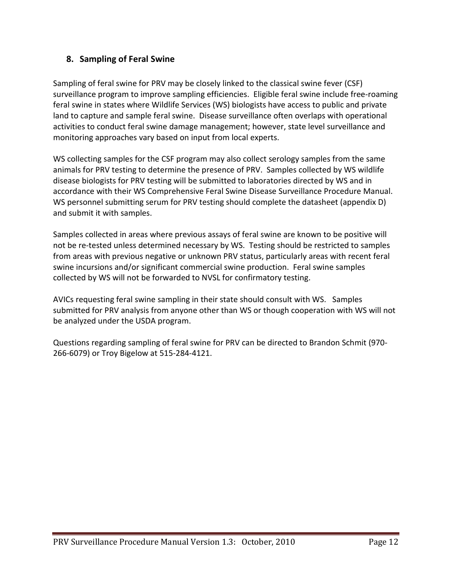### <span id="page-11-0"></span>**8. Sampling of Feral Swine**

Sampling of feral swine for PRV may be closely linked to the classical swine fever (CSF) surveillance program to improve sampling efficiencies. Eligible feral swine include free-roaming feral swine in states where Wildlife Services (WS) biologists have access to public and private land to capture and sample feral swine. Disease surveillance often overlaps with operational activities to conduct feral swine damage management; however, state level surveillance and monitoring approaches vary based on input from local experts.

WS collecting samples for the CSF program may also collect serology samples from the same animals for PRV testing to determine the presence of PRV. Samples collected by WS wildlife disease biologists for PRV testing will be submitted to laboratories directed by WS and in accordance with their WS Comprehensive Feral Swine Disease Surveillance Procedure Manual. WS personnel submitting serum for PRV testing should complete the datasheet (appendix D) and submit it with samples.

Samples collected in areas where previous assays of feral swine are known to be positive will not be re-tested unless determined necessary by WS. Testing should be restricted to samples from areas with previous negative or unknown PRV status, particularly areas with recent feral swine incursions and/or significant commercial swine production. Feral swine samples collected by WS will not be forwarded to NVSL for confirmatory testing.

AVICs requesting feral swine sampling in their state should consult with WS. Samples submitted for PRV analysis from anyone other than WS or though cooperation with WS will not be analyzed under the USDA program.

Questions regarding sampling of feral swine for PRV can be directed to Brandon Schmit (970- 266-6079) or Troy Bigelow at 515-284-4121.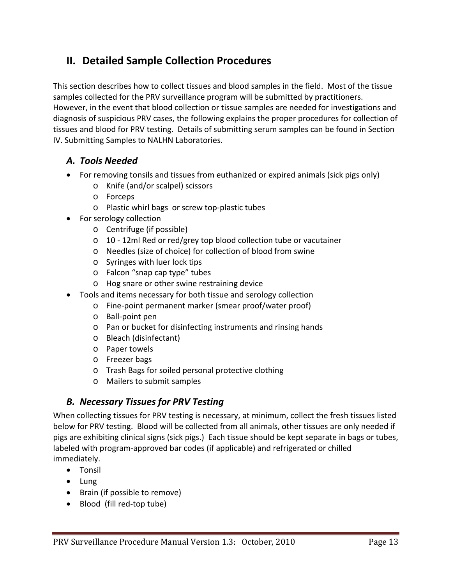# <span id="page-12-0"></span>**II. Detailed Sample Collection Procedures**

This section describes how to collect tissues and blood samples in the field. Most of the tissue samples collected for the PRV surveillance program will be submitted by practitioners. However, in the event that blood collection or tissue samples are needed for investigations and diagnosis of suspicious PRV cases, the following explains the proper procedures for collection of tissues and blood for PRV testing. Details of submitting serum samples can be found in Section IV. Submitting Samples to NALHN Laboratories.

### <span id="page-12-1"></span>*A. Tools Needed*

- For removing tonsils and tissues from euthanized or expired animals (sick pigs only)
	- o Knife (and/or scalpel) scissors
	- o Forceps
	- o Plastic whirl bags or screw top-plastic tubes
- For serology collection
	- o Centrifuge (if possible)
	- o 10 12ml Red or red/grey top blood collection tube or vacutainer
	- o Needles (size of choice) for collection of blood from swine
	- o Syringes with luer lock tips
	- o Falcon "snap cap type" tubes
	- o Hog snare or other swine restraining device
- Tools and items necessary for both tissue and serology collection
	- o Fine-point permanent marker (smear proof/water proof)
	- o Ball-point pen
	- o Pan or bucket for disinfecting instruments and rinsing hands
	- o Bleach (disinfectant)
	- o Paper towels
	- o Freezer bags
	- o Trash Bags for soiled personal protective clothing
	- o Mailers to submit samples

### <span id="page-12-2"></span>*B. Necessary Tissues for PRV Testing*

When collecting tissues for PRV testing is necessary, at minimum, collect the fresh tissues listed below for PRV testing. Blood will be collected from all animals, other tissues are only needed if pigs are exhibiting clinical signs (sick pigs.) Each tissue should be kept separate in bags or tubes, labeled with program-approved bar codes (if applicable) and refrigerated or chilled immediately.

- Tonsil
- Lung
- Brain (if possible to remove)
- Blood (fill red-top tube)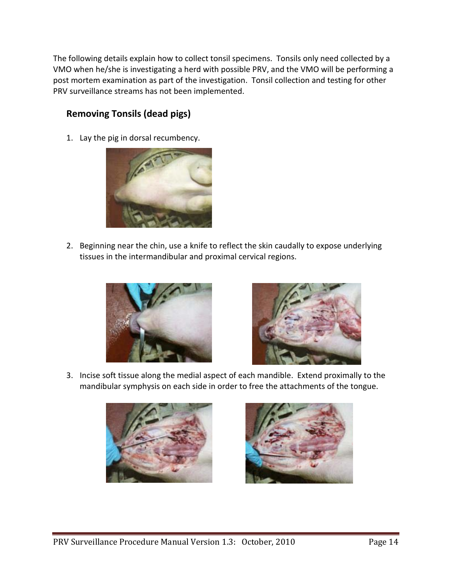The following details explain how to collect tonsil specimens. Tonsils only need collected by a VMO when he/she is investigating a herd with possible PRV, and the VMO will be performing a post mortem examination as part of the investigation. Tonsil collection and testing for other PRV surveillance streams has not been implemented.

### **Removing Tonsils (dead pigs)**

1. Lay the pig in dorsal recumbency.



2. Beginning near the chin, use a knife to reflect the skin caudally to expose underlying tissues in the intermandibular and proximal cervical regions.





3. Incise soft tissue along the medial aspect of each mandible. Extend proximally to the mandibular symphysis on each side in order to free the attachments of the tongue.



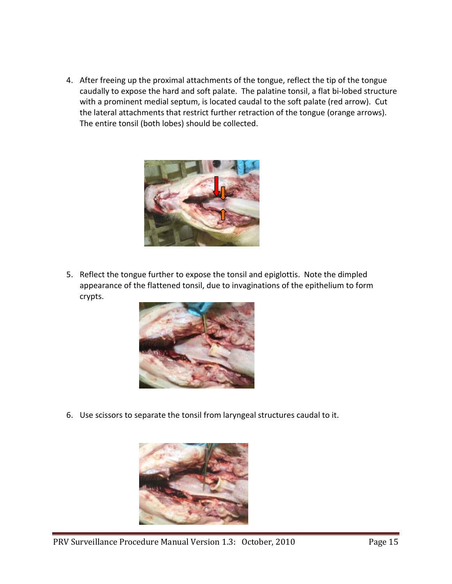4. After freeing up the proximal attachments of the tongue, reflect the tip of the tongue caudally to expose the hard and soft palate. The palatine tonsil, a flat bi-lobed structure with a prominent medial septum, is located caudal to the soft palate (red arrow). Cut the lateral attachments that restrict further retraction of the tongue (orange arrows). The entire tonsil (both lobes) should be collected.



5. Reflect the tongue further to expose the tonsil and epiglottis. Note the dimpled appearance of the flattened tonsil, due to invaginations of the epithelium to form crypts.



6. Use scissors to separate the tonsil from laryngeal structures caudal to it.

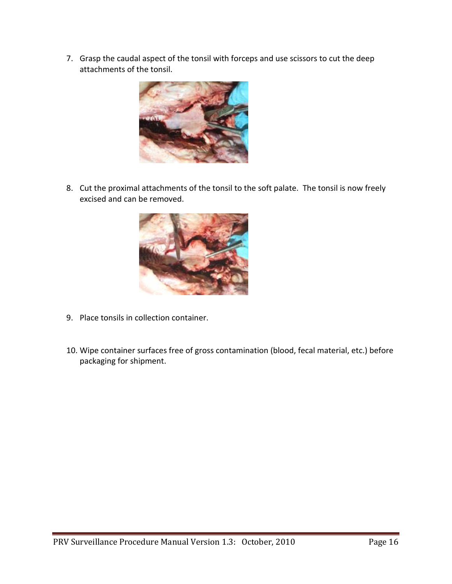7. Grasp the caudal aspect of the tonsil with forceps and use scissors to cut the deep attachments of the tonsil.



8. Cut the proximal attachments of the tonsil to the soft palate. The tonsil is now freely excised and can be removed.



- 9. Place tonsils in collection container.
- 10. Wipe container surfaces free of gross contamination (blood, fecal material, etc.) before packaging for shipment.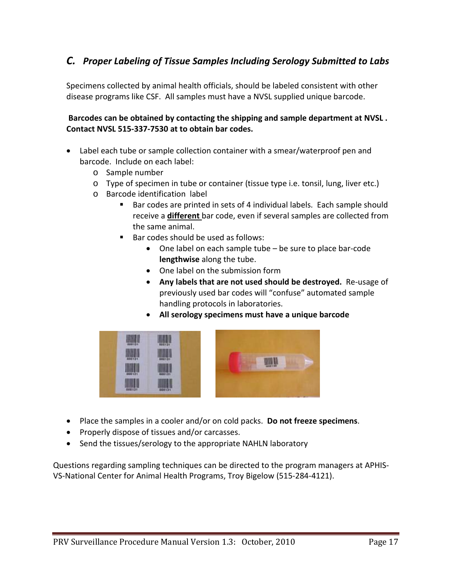### <span id="page-16-0"></span>*C. Proper Labeling of Tissue Samples Including Serology Submitted to Labs*

Specimens collected by animal health officials, should be labeled consistent with other disease programs like CSF. All samples must have a NVSL supplied unique barcode.

#### **Barcodes can be obtained by contacting the shipping and sample department at NVSL . Contact NVSL 515-337-7530 at to obtain bar codes.**

- Label each tube or sample collection container with a smear/waterproof pen and barcode. Include on each label:
	- o Sample number
	- o Type of specimen in tube or container (tissue type i.e. tonsil, lung, liver etc.)
	- o Barcode identification label
		- Bar codes are printed in sets of 4 individual labels. Each sample should receive a **different** bar code, even if several samples are collected from the same animal.
		- $B =$ Bar codes should be used as follows:
			- One label on each sample tube be sure to place bar-code **lengthwise** along the tube.
			- One label on the submission form
			- **Any labels that are not used should be destroyed.** Re-usage of previously used bar codes will "confuse" automated sample handling protocols in laboratories.
			- **All serology specimens must have a unique barcode**



- Place the samples in a cooler and/or on cold packs. **Do not freeze specimens**.
- Properly dispose of tissues and/or carcasses.
- Send the tissues/serology to the appropriate NAHLN laboratory

Questions regarding sampling techniques can be directed to the program managers at APHIS-VS-National Center for Animal Health Programs, Troy Bigelow (515-284-4121).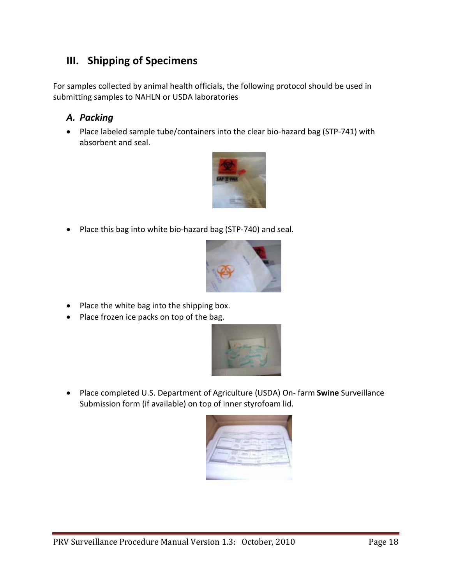# <span id="page-17-0"></span>**III. Shipping of Specimens**

For samples collected by animal health officials, the following protocol should be used in submitting samples to NAHLN or USDA laboratories

### <span id="page-17-1"></span>*A. Packing*

• Place labeled sample tube/containers into the clear bio-hazard bag (STP-741) with absorbent and seal.



• Place this bag into white bio-hazard bag (STP-740) and seal.



- Place the white bag into the shipping box.
- Place frozen ice packs on top of the bag.



• Place completed U.S. Department of Agriculture (USDA) On- farm **Swine** Surveillance Submission form (if available) on top of inner styrofoam lid.

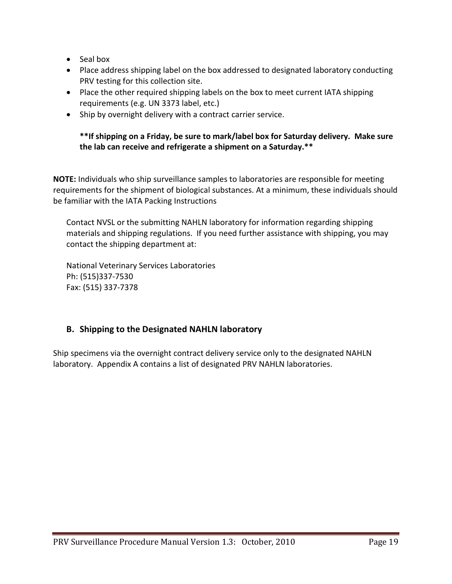- Seal box
- Place address shipping label on the box addressed to designated laboratory conducting PRV testing for this collection site.
- Place the other required shipping labels on the box to meet current IATA shipping requirements (e.g. UN 3373 label, etc.)
- Ship by overnight delivery with a contract carrier service.

#### **\*\*If shipping on a Friday, be sure to mark/label box for Saturday delivery. Make sure the lab can receive and refrigerate a shipment on a Saturday.\*\***

**NOTE:** Individuals who ship surveillance samples to laboratories are responsible for meeting requirements for the shipment of biological substances. At a minimum, these individuals should be familiar with the IATA Packing Instructions

Contact NVSL or the submitting NAHLN laboratory for information regarding shipping materials and shipping regulations. If you need further assistance with shipping, you may contact the shipping department at:

National Veterinary Services Laboratories Ph: (515)337-7530 Fax: (515) 337-7378

#### <span id="page-18-0"></span>**B. Shipping to the Designated NAHLN laboratory**

Ship specimens via the overnight contract delivery service only to the designated NAHLN laboratory. Appendix A contains a list of designated PRV NAHLN laboratories.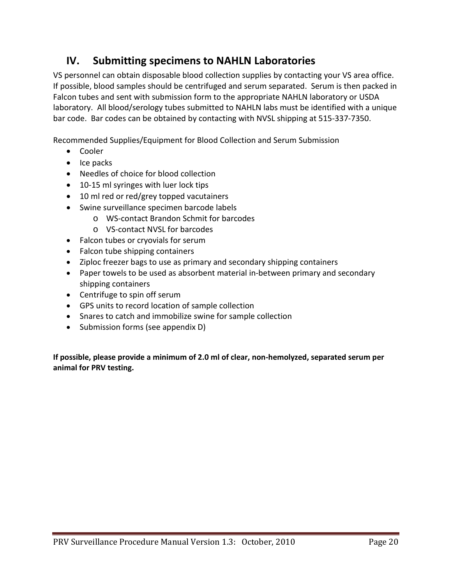# <span id="page-19-0"></span>**IV. Submitting specimens to NAHLN Laboratories**

VS personnel can obtain disposable blood collection supplies by contacting your VS area office. If possible, blood samples should be centrifuged and serum separated. Serum is then packed in Falcon tubes and sent with submission form to the appropriate NAHLN laboratory or USDA laboratory. All blood/serology tubes submitted to NAHLN labs must be identified with a unique bar code. Bar codes can be obtained by contacting with NVSL shipping at 515-337-7350.

Recommended Supplies/Equipment for Blood Collection and Serum Submission

- Cooler
- Ice packs
- Needles of choice for blood collection
- 10-15 ml syringes with luer lock tips
- 10 ml red or red/grey topped vacutainers
- Swine surveillance specimen barcode labels
	- o WS-contact Brandon Schmit for barcodes
	- o VS-contact NVSL for barcodes
- Falcon tubes or cryovials for serum
- Falcon tube shipping containers
- Ziploc freezer bags to use as primary and secondary shipping containers
- Paper towels to be used as absorbent material in-between primary and secondary shipping containers
- Centrifuge to spin off serum
- GPS units to record location of sample collection
- Snares to catch and immobilize swine for sample collection
- Submission forms (see appendix D)

**If possible, please provide a minimum of 2.0 ml of clear, non-hemolyzed, separated serum per animal for PRV testing.**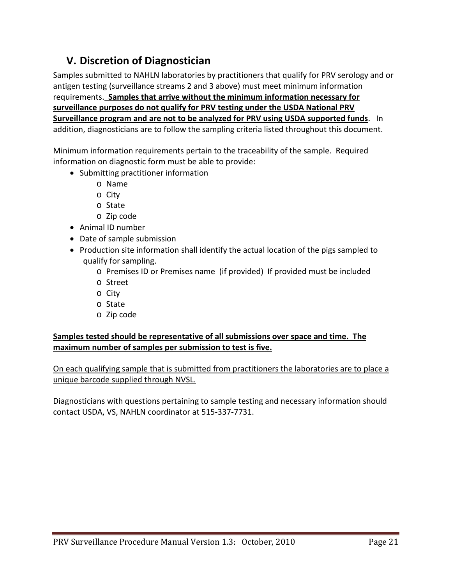# <span id="page-20-0"></span>**V. Discretion of Diagnostician**

Samples submitted to NAHLN laboratories by practitioners that qualify for PRV serology and or antigen testing (surveillance streams 2 and 3 above) must meet minimum information requirements. **Samples that arrive without the minimum information necessary for surveillance purposes do not qualify for PRV testing under the USDA National PRV Surveillance program and are not to be analyzed for PRV using USDA supported funds**. In addition, diagnosticians are to follow the sampling criteria listed throughout this document.

Minimum information requirements pertain to the traceability of the sample. Required information on diagnostic form must be able to provide:

- Submitting practitioner information
	- o Name
	- o City
	- o State
	- o Zip code
- Animal ID number
- Date of sample submission
- Production site information shall identify the actual location of the pigs sampled to qualify for sampling.
	- o Premises ID or Premises name (if provided) If provided must be included
	- o Street
	- o City
	- o State
	- o Zip code

#### **Samples tested should be representative of all submissions over space and time. The maximum number of samples per submission to test is five.**

On each qualifying sample that is submitted from practitioners the laboratories are to place a unique barcode supplied through NVSL.

Diagnosticians with questions pertaining to sample testing and necessary information should contact USDA, VS, NAHLN coordinator at 515-337-7731.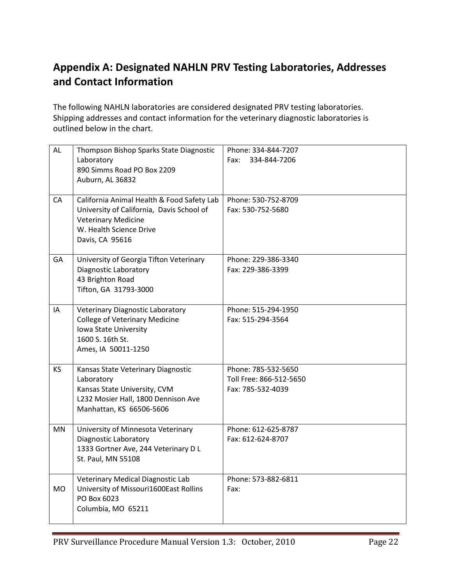# <span id="page-21-0"></span>**Appendix A: Designated NAHLN PRV Testing Laboratories, Addresses and Contact Information**

The following NAHLN laboratories are considered designated PRV testing laboratories. Shipping addresses and contact information for the veterinary diagnostic laboratories is outlined below in the chart.

| <b>AL</b> | Thompson Bishop Sparks State Diagnostic<br>Laboratory<br>890 Simms Road PO Box 2209<br>Auburn, AL 36832                                                             | Phone: 334-844-7207<br>Fax:<br>334-844-7206                         |
|-----------|---------------------------------------------------------------------------------------------------------------------------------------------------------------------|---------------------------------------------------------------------|
| CA        | California Animal Health & Food Safety Lab<br>University of California, Davis School of<br><b>Veterinary Medicine</b><br>W. Health Science Drive<br>Davis, CA 95616 | Phone: 530-752-8709<br>Fax: 530-752-5680                            |
| GA        | University of Georgia Tifton Veterinary<br>Diagnostic Laboratory<br>43 Brighton Road<br>Tifton, GA 31793-3000                                                       | Phone: 229-386-3340<br>Fax: 229-386-3399                            |
| IA        | <b>Veterinary Diagnostic Laboratory</b><br><b>College of Veterinary Medicine</b><br>Iowa State University<br>1600 S. 16th St.<br>Ames, IA 50011-1250                | Phone: 515-294-1950<br>Fax: 515-294-3564                            |
| <b>KS</b> | Kansas State Veterinary Diagnostic<br>Laboratory<br>Kansas State University, CVM<br>L232 Mosier Hall, 1800 Dennison Ave<br>Manhattan, KS 66506-5606                 | Phone: 785-532-5650<br>Toll Free: 866-512-5650<br>Fax: 785-532-4039 |
| MN        | University of Minnesota Veterinary<br>Diagnostic Laboratory<br>1333 Gortner Ave, 244 Veterinary D L<br>St. Paul, MN 55108                                           | Phone: 612-625-8787<br>Fax: 612-624-8707                            |
| <b>MO</b> | Veterinary Medical Diagnostic Lab<br>University of Missouri1600East Rollins<br>PO Box 6023<br>Columbia, MO 65211                                                    | Phone: 573-882-6811<br>Fax:                                         |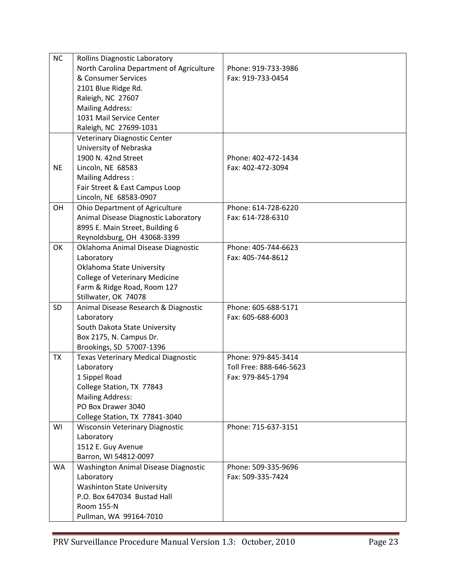| <b>NC</b> | <b>Rollins Diagnostic Laboratory</b>                     |                         |
|-----------|----------------------------------------------------------|-------------------------|
|           | North Carolina Department of Agriculture                 | Phone: 919-733-3986     |
|           | & Consumer Services                                      | Fax: 919-733-0454       |
|           | 2101 Blue Ridge Rd.                                      |                         |
|           | Raleigh, NC 27607                                        |                         |
|           | <b>Mailing Address:</b>                                  |                         |
|           | 1031 Mail Service Center                                 |                         |
|           | Raleigh, NC 27699-1031                                   |                         |
|           | <b>Veterinary Diagnostic Center</b>                      |                         |
|           | University of Nebraska                                   |                         |
|           | 1900 N. 42nd Street                                      | Phone: 402-472-1434     |
| <b>NE</b> | Lincoln, NE 68583                                        | Fax: 402-472-3094       |
|           | <b>Mailing Address:</b>                                  |                         |
|           |                                                          |                         |
|           | Fair Street & East Campus Loop<br>Lincoln, NE 68583-0907 |                         |
|           |                                                          |                         |
| OH        | Ohio Department of Agriculture                           | Phone: 614-728-6220     |
|           | Animal Disease Diagnostic Laboratory                     | Fax: 614-728-6310       |
|           | 8995 E. Main Street, Building 6                          |                         |
|           | Reynoldsburg, OH 43068-3399                              |                         |
| OK        | Oklahoma Animal Disease Diagnostic                       | Phone: 405-744-6623     |
|           | Laboratory                                               | Fax: 405-744-8612       |
|           | Oklahoma State University                                |                         |
|           | <b>College of Veterinary Medicine</b>                    |                         |
|           | Farm & Ridge Road, Room 127                              |                         |
|           | Stillwater, OK 74078                                     |                         |
| <b>SD</b> | Animal Disease Research & Diagnostic                     | Phone: 605-688-5171     |
|           | Laboratory                                               | Fax: 605-688-6003       |
|           | South Dakota State University                            |                         |
|           | Box 2175, N. Campus Dr.                                  |                         |
|           | Brookings, SD 57007-1396                                 |                         |
| <b>TX</b> | <b>Texas Veterinary Medical Diagnostic</b>               | Phone: 979-845-3414     |
|           | Laboratory                                               | Toll Free: 888-646-5623 |
|           | 1 Sippel Road                                            | Fax: 979-845-1794       |
|           | College Station, TX 77843                                |                         |
|           | <b>Mailing Address:</b>                                  |                         |
|           | PO Box Drawer 3040                                       |                         |
|           | College Station, TX 77841-3040                           |                         |
| WI        | <b>Wisconsin Veterinary Diagnostic</b>                   | Phone: 715-637-3151     |
|           | Laboratory                                               |                         |
|           | 1512 E. Guy Avenue                                       |                         |
|           | Barron, WI 54812-0097                                    |                         |
| <b>WA</b> | Washington Animal Disease Diagnostic                     | Phone: 509-335-9696     |
|           | Laboratory                                               | Fax: 509-335-7424       |
|           | <b>Washinton State University</b>                        |                         |
|           | P.O. Box 647034 Bustad Hall                              |                         |
|           | Room 155-N                                               |                         |
|           | Pullman, WA 99164-7010                                   |                         |
|           |                                                          |                         |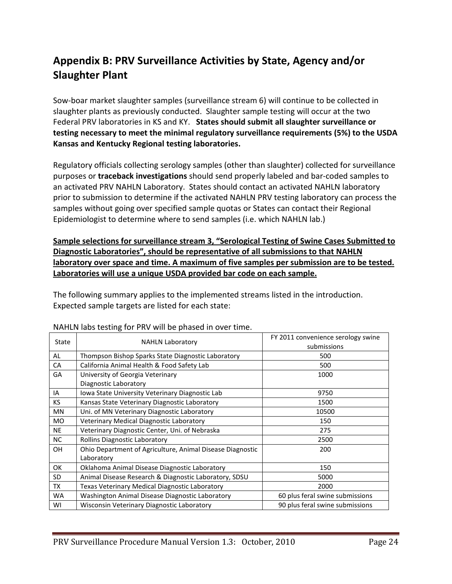# <span id="page-23-0"></span>**Appendix B: PRV Surveillance Activities by State, Agency and/or Slaughter Plant**

Sow-boar market slaughter samples (surveillance stream 6) will continue to be collected in slaughter plants as previously conducted. Slaughter sample testing will occur at the two Federal PRV laboratories in KS and KY. **States should submit all slaughter surveillance or testing necessary to meet the minimal regulatory surveillance requirements (5%) to the USDA Kansas and Kentucky Regional testing laboratories.**

Regulatory officials collecting serology samples (other than slaughter) collected for surveillance purposes or **traceback investigations** should send properly labeled and bar-coded samples to an activated PRV NAHLN Laboratory. States should contact an activated NAHLN laboratory prior to submission to determine if the activated NAHLN PRV testing laboratory can process the samples without going over specified sample quotas or States can contact their Regional Epidemiologist to determine where to send samples (i.e. which NAHLN lab.)

**Sample selections for surveillance stream 3, "Serological Testing of Swine Cases Submitted to Diagnostic Laboratories", should be representative of all submissions to that NAHLN laboratory over space and time. A maximum of five samples per submission are to be tested. Laboratories will use a unique USDA provided bar code on each sample.**

The following summary applies to the implemented streams listed in the introduction. Expected sample targets are listed for each state:

| State     | <b>NAHLN Laboratory</b>                                   | FY 2011 convenience serology swine<br>submissions |
|-----------|-----------------------------------------------------------|---------------------------------------------------|
| AL        | Thompson Bishop Sparks State Diagnostic Laboratory        | 500                                               |
| <b>CA</b> | California Animal Health & Food Safety Lab                | 500                                               |
| GA        | University of Georgia Veterinary                          | 1000                                              |
|           | Diagnostic Laboratory                                     |                                                   |
| IA        | Jowa State University Veterinary Diagnostic Lab           | 9750                                              |
| KS.       | Kansas State Veterinary Diagnostic Laboratory             | 1500                                              |
| MN        | Uni. of MN Veterinary Diagnostic Laboratory               | 10500                                             |
| <b>MO</b> | Veterinary Medical Diagnostic Laboratory                  | 150                                               |
| <b>NE</b> | Veterinary Diagnostic Center, Uni. of Nebraska            | 275                                               |
| <b>NC</b> | Rollins Diagnostic Laboratory                             | 2500                                              |
| OH        | Ohio Department of Agriculture, Animal Disease Diagnostic | 200                                               |
|           | Laboratory                                                |                                                   |
| OK        | Oklahoma Animal Disease Diagnostic Laboratory             | 150                                               |
| <b>SD</b> | Animal Disease Research & Diagnostic Laboratory, SDSU     | 5000                                              |
| TX        | Texas Veterinary Medical Diagnostic Laboratory            | 2000                                              |
| <b>WA</b> | Washington Animal Disease Diagnostic Laboratory           | 60 plus feral swine submissions                   |
| WI        | Wisconsin Veterinary Diagnostic Laboratory                | 90 plus feral swine submissions                   |

#### NAHLN labs testing for PRV will be phased in over time.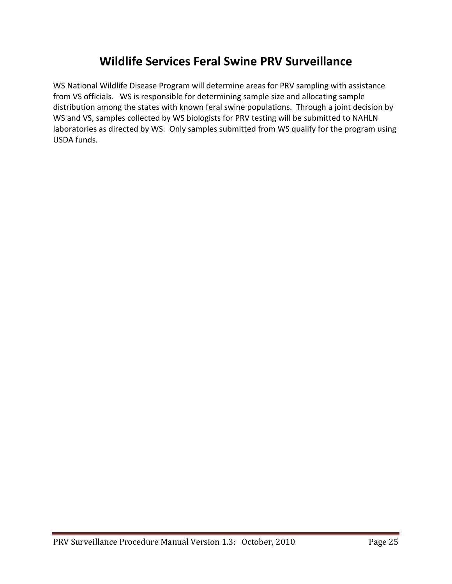# **Wildlife Services Feral Swine PRV Surveillance**

WS National Wildlife Disease Program will determine areas for PRV sampling with assistance from VS officials. WS is responsible for determining sample size and allocating sample distribution among the states with known feral swine populations. Through a joint decision by WS and VS, samples collected by WS biologists for PRV testing will be submitted to NAHLN laboratories as directed by WS. Only samples submitted from WS qualify for the program using USDA funds.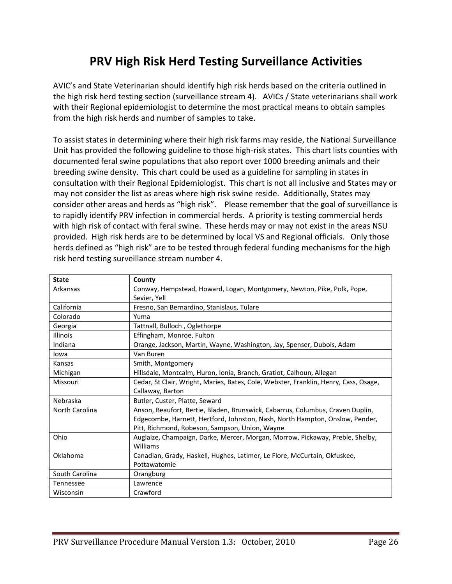# **PRV High Risk Herd Testing Surveillance Activities**

AVIC's and State Veterinarian should identify high risk herds based on the criteria outlined in the high risk herd testing section (surveillance stream 4). AVICs / State veterinarians shall work with their Regional epidemiologist to determine the most practical means to obtain samples from the high risk herds and number of samples to take.

To assist states in determining where their high risk farms may reside, the National Surveillance Unit has provided the following guideline to those high-risk states. This chart lists counties with documented feral swine populations that also report over 1000 breeding animals and their breeding swine density. This chart could be used as a guideline for sampling in states in consultation with their Regional Epidemiologist. This chart is not all inclusive and States may or may not consider the list as areas where high risk swine reside. Additionally, States may consider other areas and herds as "high risk". Please remember that the goal of surveillance is to rapidly identify PRV infection in commercial herds. A priority is testing commercial herds with high risk of contact with feral swine. These herds may or may not exist in the areas NSU provided. High risk herds are to be determined by local VS and Regional officials. Only those herds defined as "high risk" are to be tested through federal funding mechanisms for the high risk herd testing surveillance stream number 4.

| <b>State</b>     | County                                                                               |  |  |  |
|------------------|--------------------------------------------------------------------------------------|--|--|--|
| Arkansas         | Conway, Hempstead, Howard, Logan, Montgomery, Newton, Pike, Polk, Pope,              |  |  |  |
|                  | Sevier, Yell                                                                         |  |  |  |
| California       | Fresno, San Bernardino, Stanislaus, Tulare                                           |  |  |  |
| Colorado         | Yuma                                                                                 |  |  |  |
| Georgia          | Tattnall, Bulloch, Oglethorpe                                                        |  |  |  |
| Illinois         | Effingham, Monroe, Fulton                                                            |  |  |  |
| Indiana          | Orange, Jackson, Martin, Wayne, Washington, Jay, Spenser, Dubois, Adam               |  |  |  |
| lowa             | Van Buren                                                                            |  |  |  |
| Kansas           | Smith, Montgomery                                                                    |  |  |  |
| Michigan         | Hillsdale, Montcalm, Huron, Ionia, Branch, Gratiot, Calhoun, Allegan                 |  |  |  |
| Missouri         | Cedar, St Clair, Wright, Maries, Bates, Cole, Webster, Franklin, Henry, Cass, Osage, |  |  |  |
|                  | Callaway, Barton                                                                     |  |  |  |
| Nebraska         | Butler, Custer, Platte, Seward                                                       |  |  |  |
| North Carolina   | Anson, Beaufort, Bertie, Bladen, Brunswick, Cabarrus, Columbus, Craven Duplin,       |  |  |  |
|                  | Edgecombe, Harnett, Hertford, Johnston, Nash, North Hampton, Onslow, Pender,         |  |  |  |
|                  | Pitt, Richmond, Robeson, Sampson, Union, Wayne                                       |  |  |  |
| Ohio             | Auglaize, Champaign, Darke, Mercer, Morgan, Morrow, Pickaway, Preble, Shelby,        |  |  |  |
|                  | Williams                                                                             |  |  |  |
| Oklahoma         | Canadian, Grady, Haskell, Hughes, Latimer, Le Flore, McCurtain, Okfuskee,            |  |  |  |
|                  | Pottawatomie                                                                         |  |  |  |
| South Carolina   | Orangburg                                                                            |  |  |  |
| <b>Tennessee</b> | Lawrence                                                                             |  |  |  |
| Wisconsin        | Crawford                                                                             |  |  |  |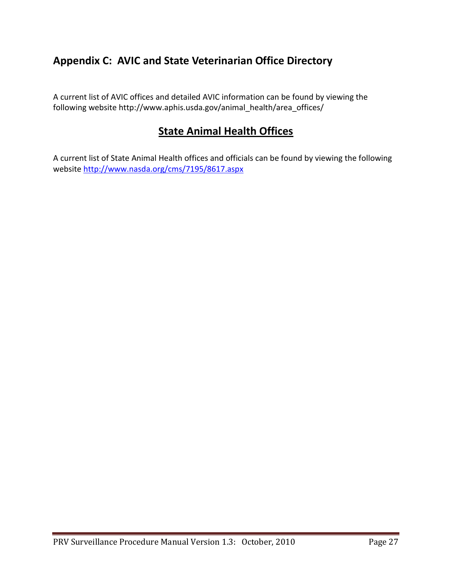# <span id="page-26-0"></span>**Appendix C: AVIC and State Veterinarian Office Directory**

A current list of AVIC offices and detailed AVIC information can be found by viewing the following website http://www.aphis.usda.gov/animal\_health/area\_offices/

# **State Animal Health Offices**

A current list of State Animal Health offices and officials can be found by viewing the following website<http://www.nasda.org/cms/7195/8617.aspx>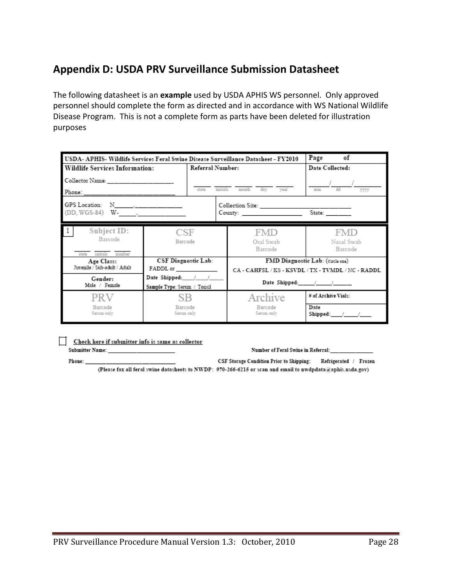# <span id="page-27-0"></span>**Appendix D: USDA PRV Surveillance Submission Datasheet**

The following datasheet is an **example** used by USDA APHIS WS personnel. Only approved personnel should complete the form as directed and in accordance with WS National Wildlife Disease Program. This is not a complete form as parts have been deleted for illustration purposes

| of<br>Page<br>USDA- APHIS- Wildlife Services Feral Swine Disease Surveillance Datasheet - FY2010 |                             |       |                                                   |                                  |                                                      |  |
|--------------------------------------------------------------------------------------------------|-----------------------------|-------|---------------------------------------------------|----------------------------------|------------------------------------------------------|--|
| Referral Number:<br><b>Wildlife Services Information:</b>                                        |                             |       |                                                   |                                  | Date Collected:                                      |  |
| Collector Name:                                                                                  |                             |       |                                                   |                                  |                                                      |  |
| Phone: ______________________                                                                    |                             | state | initials<br>month<br>day vear<br>dd<br>mm<br>3333 |                                  |                                                      |  |
| GPS Location: N___________________                                                               |                             |       |                                                   |                                  | State: _______                                       |  |
| Subject ID:<br>Barcode<br>initials<br>mambar<br>state                                            | CSE<br>Barcode              |       |                                                   | FMD<br>Oral Swab<br>Barcode      | FMD<br>Nasal Swab<br>Barcode                         |  |
| Age Class:                                                                                       | CSF Diagnostic Lab:         |       |                                                   | FMD Diagnostic Lab: (circle cue) |                                                      |  |
| Juvenile / Sub-adult / Adult                                                                     | FADDL or                    |       |                                                   |                                  | CA - CAHFSL / KS - KSVDL / TX - TVMDL / NC - RADDL   |  |
| Gender:<br>Male / Female                                                                         | Sample Type: Serum / Tonsil |       |                                                   |                                  | Date Shipped: $\_\_\_\_\_\_\_\_\_\_\_\_\_\_\_\_\_\_$ |  |
| PRV                                                                                              | SB                          |       |                                                   | Archive                          | # of Archive Vials:                                  |  |
| Barcode<br>Serum only                                                                            | Barcode<br>Serum only       |       |                                                   | Barcode<br>Seram only            | Date<br>Shipped: $/$ /                               |  |

<u>Check here if submitter info is same as collector</u> Submitter Name:

Phone:

Number of Feral Swine in Referral:

CSF Storage Condition Prior to Shipping: Refrigerated / Frozen (Please fax all feral swine datasheets to NWDP: 970-266-6215 or scan and email to nwdpdata@aphis.usda.gov)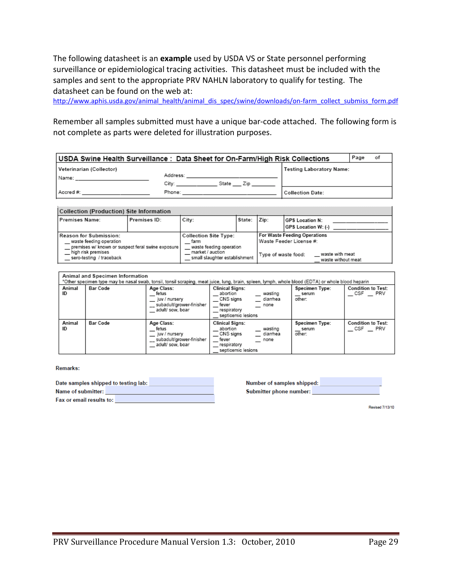The following datasheet is an **example** used by USDA VS or State personnel performing surveillance or epidemiological tracing activities. This datasheet must be included with the samples and sent to the appropriate PRV NAHLN laboratory to qualify for testing. The datasheet can be found on the web at:

[http://www.aphis.usda.gov/animal\\_health/animal\\_dis\\_spec/swine/downloads/on-farm\\_collect\\_submiss\\_form.pdf](http://www.aphis.usda.gov/animal_health/animal_dis_spec/swine/downloads/on-farm_collect_submiss_form.pdf)

Remember all samples submitted must have a unique bar-code attached. The following form is not complete as parts were deleted for illustration purposes.

| USDA Swine Health Surveillance: Data Sheet for On-Farm/High Risk Collections |                                                                                                                                                                                                                                |           |                          | Page | οf |
|------------------------------------------------------------------------------|--------------------------------------------------------------------------------------------------------------------------------------------------------------------------------------------------------------------------------|-----------|--------------------------|------|----|
| Veterinarian (Collector)                                                     |                                                                                                                                                                                                                                |           | Testing Laboratory Name: |      |    |
|                                                                              | Address: Analysis and Address and Address and Address and Address and Address and Address and Address and Address and Address and Address and Address and Address and Address and Address and Address and Address and Address  |           |                          |      |    |
|                                                                              | City:                                                                                                                                                                                                                          | State Zip |                          |      |    |
| Accred #:                                                                    | Phone: The contract of the contract of the contract of the contract of the contract of the contract of the contract of the contract of the contract of the contract of the contract of the contract of the contract of the con |           | <b>Collection Date:</b>  |      |    |
|                                                                              |                                                                                                                                                                                                                                |           |                          |      |    |

| <b>Collection (Production) site information</b>                                                                                                          |              |                                                                                                                      |        |                     |                                                                                                  |
|----------------------------------------------------------------------------------------------------------------------------------------------------------|--------------|----------------------------------------------------------------------------------------------------------------------|--------|---------------------|--------------------------------------------------------------------------------------------------|
| Premises Name:                                                                                                                                           | Premises ID: | City:                                                                                                                | State: | Zip:                | <b>IGPS Location N:</b><br><b>GPS Location W: (-)</b>                                            |
| Reason for Submission:<br>waste feeding operation<br>premises w/ known or suspect feral swine exposure<br>high risk premises<br>sero-testing / traceback |              | <b>Collection Site Type:</b><br>farm<br>waste feeding operation<br>market / auction<br>small slaughter establishment |        | Type of waste food: | For Waste Feeding Operations<br>Waste Feeder License #:<br>waste with meat<br>waste without meat |

|              | Animal and Specimen Information<br>"Other specimen type may be nasal swab, tonsil, tonsil scraping, meat juice, lung, brain, spleen, lymph, whole blood (EDTA) or whole blood heparin |                                                                                      |                                                                                                                              |                                   |                                                    |  |
|--------------|---------------------------------------------------------------------------------------------------------------------------------------------------------------------------------------|--------------------------------------------------------------------------------------|------------------------------------------------------------------------------------------------------------------------------|-----------------------------------|----------------------------------------------------|--|
|              |                                                                                                                                                                                       |                                                                                      |                                                                                                                              |                                   |                                                    |  |
| Animal<br>ID | <b>Bar Code</b>                                                                                                                                                                       | Age Class:<br>fetus<br>juv / nursery<br>subadult/grower-finisher<br>adult/ sow, boar | <b>Clinical Signs:</b><br>wasting<br>abortion<br>CNS signs<br>diarrhea<br>fever<br>none<br>respiratory<br>septicemic lesions | Specimen Type:<br>serum<br>other: | <b>Condition to Test:</b><br>CSF PRV               |  |
| Animal<br>ID | <b>Bar Code</b>                                                                                                                                                                       | Age Class:<br>fetus<br>juv / nursery<br>subadult/grower-finisher<br>adult/ sow, boar | <b>Clinical Signs:</b><br>wasting<br>abortion<br>CNS signs<br>diarrhea<br>fever<br>none<br>respiratory<br>septicemic lesions | Specimen Type:<br>serum<br>other: | <b>Condition to Test:</b><br>$-$ CSF<br><b>PRV</b> |  |

Remarks:

| Date samples shipped to testing lab: |  |
|--------------------------------------|--|
| Name of submitter:                   |  |
| Fax or email results to:             |  |

| Number of samples shipped: |  |
|----------------------------|--|
| Submitter phone number:    |  |

Revised 7/13/10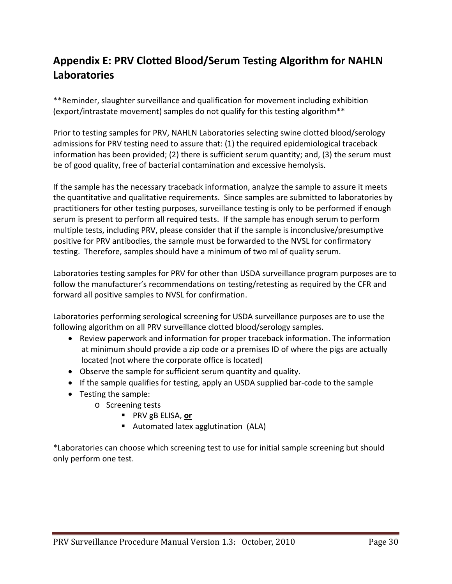# <span id="page-29-0"></span>**Appendix E: PRV Clotted Blood/Serum Testing Algorithm for NAHLN Laboratories**

\*\*Reminder, slaughter surveillance and qualification for movement including exhibition (export/intrastate movement) samples do not qualify for this testing algorithm\*\*

Prior to testing samples for PRV, NAHLN Laboratories selecting swine clotted blood/serology admissions for PRV testing need to assure that: (1) the required epidemiological traceback information has been provided; (2) there is sufficient serum quantity; and, (3) the serum must be of good quality, free of bacterial contamination and excessive hemolysis.

If the sample has the necessary traceback information, analyze the sample to assure it meets the quantitative and qualitative requirements. Since samples are submitted to laboratories by practitioners for other testing purposes, surveillance testing is only to be performed if enough serum is present to perform all required tests. If the sample has enough serum to perform multiple tests, including PRV, please consider that if the sample is inconclusive/presumptive positive for PRV antibodies, the sample must be forwarded to the NVSL for confirmatory testing. Therefore, samples should have a minimum of two ml of quality serum.

Laboratories testing samples for PRV for other than USDA surveillance program purposes are to follow the manufacturer's recommendations on testing/retesting as required by the CFR and forward all positive samples to NVSL for confirmation.

Laboratories performing serological screening for USDA surveillance purposes are to use the following algorithm on all PRV surveillance clotted blood/serology samples.

- Review paperwork and information for proper traceback information. The information at minimum should provide a zip code or a premises ID of where the pigs are actually located (not where the corporate office is located)
- Observe the sample for sufficient serum quantity and quality.
- If the sample qualifies for testing, apply an USDA supplied bar-code to the sample
- Testing the sample:
	- o Screening tests
		- PRV gB ELISA, or
		- Automated latex agglutination (ALA)

\*Laboratories can choose which screening test to use for initial sample screening but should only perform one test.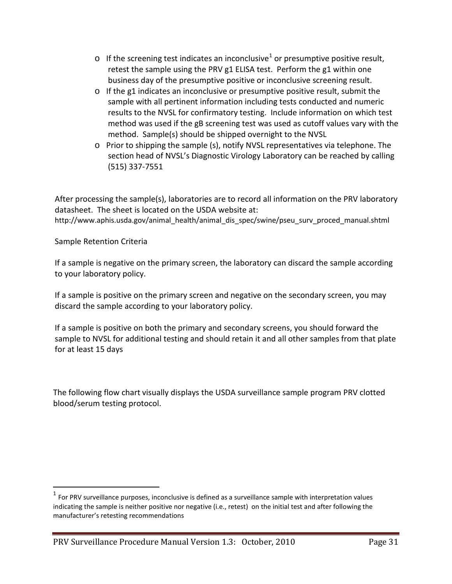- $\circ$  If the screening test indicates an inconclusive<sup>[1](#page-30-0)</sup> or presumptive positive result, retest the sample using the PRV g1 ELISA test. Perform the g1 within one business day of the presumptive positive or inconclusive screening result.
- $\circ$  If the g1 indicates an inconclusive or presumptive positive result, submit the sample with all pertinent information including tests conducted and numeric results to the NVSL for confirmatory testing. Include information on which test method was used if the gB screening test was used as cutoff values vary with the method. Sample(s) should be shipped overnight to the NVSL
- $\circ$  Prior to shipping the sample (s), notify NVSL representatives via telephone. The section head of NVSL's Diagnostic Virology Laboratory can be reached by calling (515) 337-7551

After processing the sample(s), laboratories are to record all information on the PRV laboratory datasheet. The sheet is located on the USDA website at: http://www.aphis.usda.gov/animal\_health/animal\_dis\_spec/swine/pseu\_surv\_proced\_manual.shtml

Sample Retention Criteria

If a sample is negative on the primary screen, the laboratory can discard the sample according to your laboratory policy.

If a sample is positive on the primary screen and negative on the secondary screen, you may discard the sample according to your laboratory policy.

If a sample is positive on both the primary and secondary screens, you should forward the sample to NVSL for additional testing and should retain it and all other samples from that plate for at least 15 days

The following flow chart visually displays the USDA surveillance sample program PRV clotted blood/serum testing protocol.

<span id="page-30-0"></span> $1$  For PRV surveillance purposes, inconclusive is defined as a surveillance sample with interpretation values indicating the sample is neither positive nor negative (i.e., retest) on the initial test and after following the manufacturer's retesting recommendations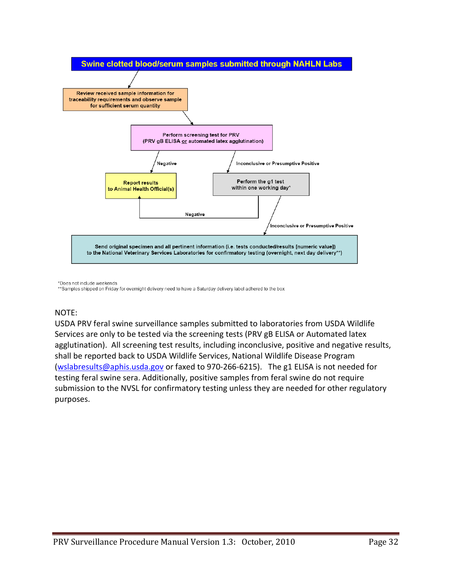

\*Does not include weekends

\*\* Samples shipped on Friday for overnight delivery need to have a Saturday delivery label adhered to the box

#### NOTE:

USDA PRV feral swine surveillance samples submitted to laboratories from USDA Wildlife Services are only to be tested via the screening tests (PRV gB ELISA or Automated latex agglutination). All screening test results, including inconclusive, positive and negative results, shall be reported back to USDA Wildlife Services, National Wildlife Disease Program [\(wslabresults@aphis.usda.gov](mailto:wslabresults@aphis.usda.gov) or faxed to 970-266-6215). The g1 ELISA is not needed for testing feral swine sera. Additionally, positive samples from feral swine do not require submission to the NVSL for confirmatory testing unless they are needed for other regulatory purposes.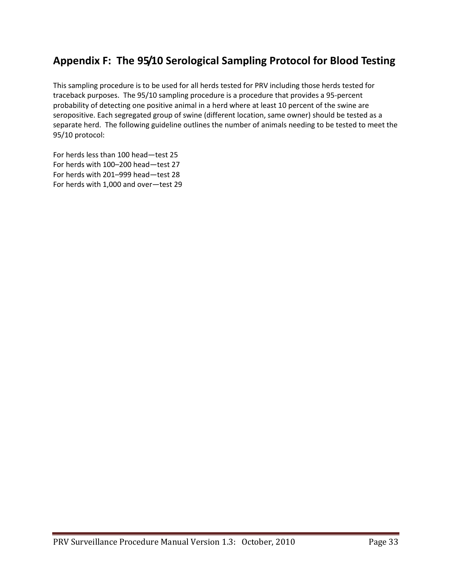# <span id="page-32-0"></span>**Appendix F: The 95/10 Serological Sampling Protocol for Blood Testing**

This sampling procedure is to be used for all herds tested for PRV including those herds tested for traceback purposes. The 95/10 sampling procedure is a procedure that provides a 95-percent probability of detecting one positive animal in a herd where at least 10 percent of the swine are seropositive. Each segregated group of swine (different location, same owner) should be tested as a separate herd. The following guideline outlines the number of animals needing to be tested to meet the 95/10 protocol:

For herds less than 100 head—test 25 For herds with 100–200 head—test 27 For herds with 201–999 head—test 28 For herds with 1,000 and over—test 29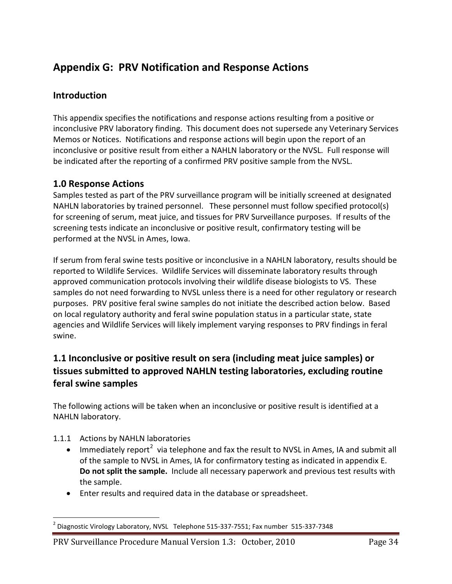# <span id="page-33-0"></span>**Appendix G: PRV Notification and Response Actions**

### **Introduction**

This appendix specifies the notifications and response actions resulting from a positive or inconclusive PRV laboratory finding. This document does not supersede any Veterinary Services Memos or Notices. Notifications and response actions will begin upon the report of an inconclusive or positive result from either a NAHLN laboratory or the NVSL. Full response will be indicated after the reporting of a confirmed PRV positive sample from the NVSL.

### **1.0 Response Actions**

Samples tested as part of the PRV surveillance program will be initially screened at designated NAHLN laboratories by trained personnel. These personnel must follow specified protocol(s) for screening of serum, meat juice, and tissues for PRV Surveillance purposes. If results of the screening tests indicate an inconclusive or positive result, confirmatory testing will be performed at the NVSL in Ames, Iowa.

If serum from feral swine tests positive or inconclusive in a NAHLN laboratory, results should be reported to Wildlife Services. Wildlife Services will disseminate laboratory results through approved communication protocols involving their wildlife disease biologists to VS. These samples do not need forwarding to NVSL unless there is a need for other regulatory or research purposes. PRV positive feral swine samples do not initiate the described action below. Based on local regulatory authority and feral swine population status in a particular state, state agencies and Wildlife Services will likely implement varying responses to PRV findings in feral swine.

# **1.1 Inconclusive or positive result on sera (including meat juice samples) or tissues submitted to approved NAHLN testing laboratories, excluding routine feral swine samples**

The following actions will be taken when an inconclusive or positive result is identified at a NAHLN laboratory.

- 1.1.1 Actions by NAHLN laboratories
	- $\bullet$  Immediately report<sup>[2](#page-33-1)</sup> via telephone and fax the result to NVSL in Ames, IA and submit all of the sample to NVSL in Ames, IA for confirmatory testing as indicated in appendix E. **Do not split the sample.** Include all necessary paperwork and previous test results with the sample.
	- Enter results and required data in the database or spreadsheet.

<span id="page-33-1"></span> $^2$  Diagnostic Virology Laboratory, NVSL Telephone 515-337-7551; Fax number 515-337-7348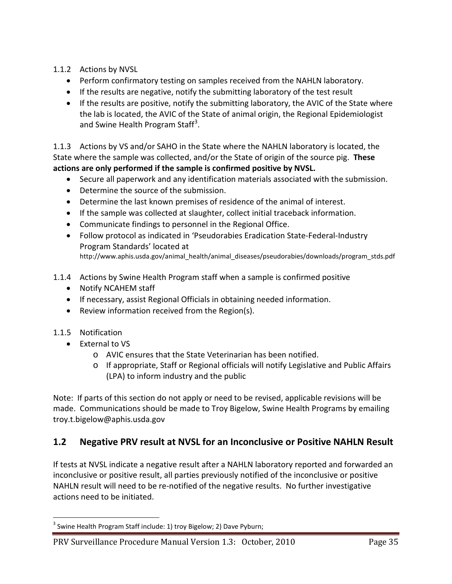- 1.1.2 Actions by NVSL
	- Perform confirmatory testing on samples received from the NAHLN laboratory.
	- If the results are negative, notify the submitting laboratory of the test result
	- If the results are positive, notify the submitting laboratory, the AVIC of the State where the lab is located, the AVIC of the State of animal origin, the Regional Epidemiologist and Swine Health Program Staff<sup>[3](#page-34-0)</sup>.

1.1.3 Actions by VS and/or SAHO in the State where the NAHLN laboratory is located, the State where the sample was collected, and/or the State of origin of the source pig. **These actions are only performed if the sample is confirmed positive by NVSL.** 

- Secure all paperwork and any identification materials associated with the submission.
- Determine the source of the submission.
- Determine the last known premises of residence of the animal of interest.
- If the sample was collected at slaughter, collect initial traceback information.
- Communicate findings to personnel in the Regional Office.
- Follow protocol as indicated in 'Pseudorabies Eradication State-Federal-Industry Program Standards' located at http://www.aphis.usda.gov/animal\_health/animal\_diseases/pseudorabies/downloads/program\_stds.pdf
- 1.1.4 Actions by Swine Health Program staff when a sample is confirmed positive
	- Notify NCAHEM staff
	- If necessary, assist Regional Officials in obtaining needed information.
	- Review information received from the Region(s).
- 1.1.5 Notification
	- External to VS
		- o AVIC ensures that the State Veterinarian has been notified.
		- o If appropriate, Staff or Regional officials will notify Legislative and Public Affairs (LPA) to inform industry and the public

Note: If parts of this section do not apply or need to be revised, applicable revisions will be made. Communications should be made to Troy Bigelow, Swine Health Programs by emailing troy.t.bigelow@aphis.usda.gov

#### **1.2 Negative PRV result at NVSL for an Inconclusive or Positive NAHLN Result**

If tests at NVSL indicate a negative result after a NAHLN laboratory reported and forwarded an inconclusive or positive result, all parties previously notified of the inconclusive or positive NAHLN result will need to be re-notified of the negative results. No further investigative actions need to be initiated.

<span id="page-34-0"></span><sup>&</sup>lt;sup>3</sup> Swine Health Program Staff include: 1) troy Bigelow; 2) Dave Pyburn;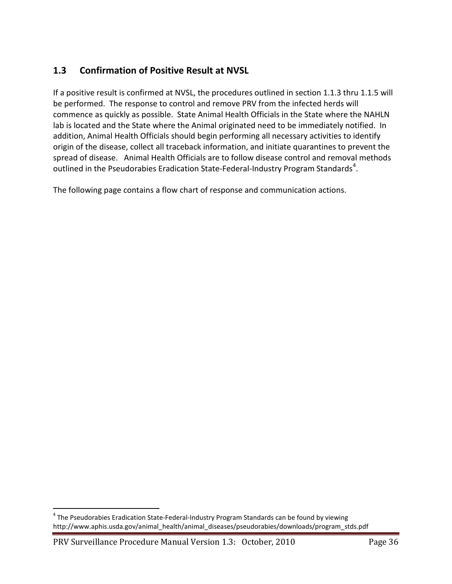# **1.3 Confirmation of Positive Result at NVSL**

If a positive result is confirmed at NVSL, the procedures outlined in section 1.1.3 thru 1.1.5 will be performed. The response to control and remove PRV from the infected herds will commence as quickly as possible. State Animal Health Officials in the State where the NAHLN lab is located and the State where the Animal originated need to be immediately notified. In addition, Animal Health Officials should begin performing all necessary activities to identify origin of the disease, collect all traceback information, and initiate quarantines to prevent the spread of disease. Animal Health Officials are to follow disease control and removal methods outlined in the Pseudorabies Eradication State-Federal-Industry Program Standards<sup>[4](#page-35-0)</sup>.

The following page contains a flow chart of response and communication actions.

PRV Surveillance Procedure Manual Version 1.3: October, 2010 Page 36

<span id="page-35-0"></span><sup>&</sup>lt;sup>4</sup> The Pseudorabies Eradication State-Federal-Industry Program Standards can be found by viewing http://www.aphis.usda.gov/animal\_health/animal\_diseases/pseudorabies/downloads/program\_stds.pdf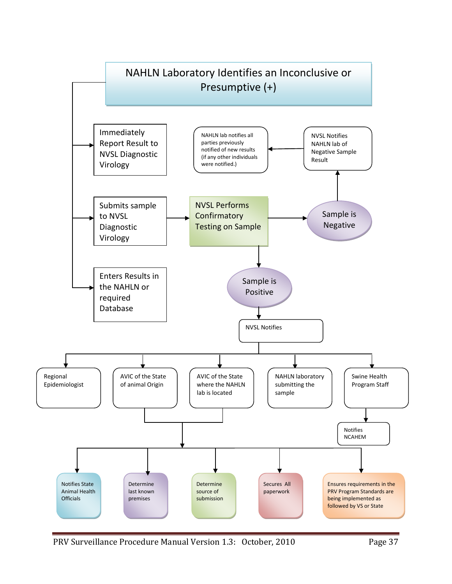

PRV Surveillance Procedure Manual Version 1.3: October, 2010 Page 37